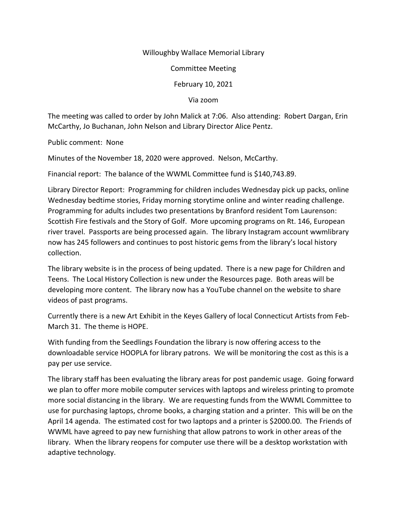## Willoughby Wallace Memorial Library

Committee Meeting

February 10, 2021

Via zoom

The meeting was called to order by John Malick at 7:06. Also attending: Robert Dargan, Erin McCarthy, Jo Buchanan, John Nelson and Library Director Alice Pentz.

Public comment: None

Minutes of the November 18, 2020 were approved. Nelson, McCarthy.

Financial report: The balance of the WWML Committee fund is \$140,743.89.

Library Director Report: Programming for children includes Wednesday pick up packs, online Wednesday bedtime stories, Friday morning storytime online and winter reading challenge. Programming for adults includes two presentations by Branford resident Tom Laurenson: Scottish Fire festivals and the Story of Golf. More upcoming programs on Rt. 146, European river travel. Passports are being processed again. The library Instagram account wwmlibrary now has 245 followers and continues to post historic gems from the library's local history collection.

The library website is in the process of being updated. There is a new page for Children and Teens. The Local History Collection is new under the Resources page. Both areas will be developing more content. The library now has a YouTube channel on the website to share videos of past programs.

Currently there is a new Art Exhibit in the Keyes Gallery of local Connecticut Artists from Feb-March 31. The theme is HOPE.

With funding from the Seedlings Foundation the library is now offering access to the downloadable service HOOPLA for library patrons. We will be monitoring the cost as this is a pay per use service.

The library staff has been evaluating the library areas for post pandemic usage. Going forward we plan to offer more mobile computer services with laptops and wireless printing to promote more social distancing in the library. We are requesting funds from the WWML Committee to use for purchasing laptops, chrome books, a charging station and a printer. This will be on the April 14 agenda. The estimated cost for two laptops and a printer is \$2000.00. The Friends of WWML have agreed to pay new furnishing that allow patrons to work in other areas of the library. When the library reopens for computer use there will be a desktop workstation with adaptive technology.